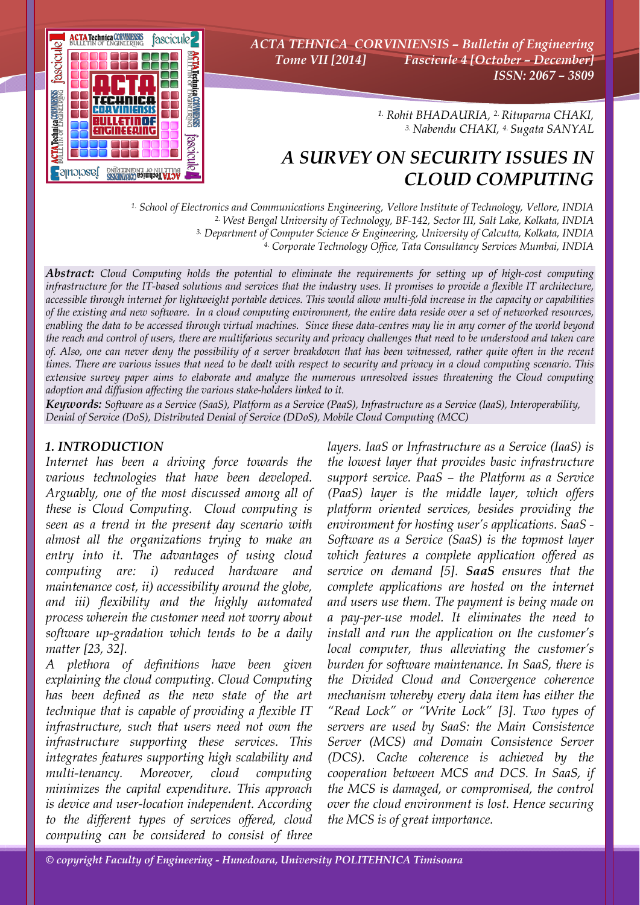

*ACTA TEHNICA CORVINIENSIS – Bulletin of Engineering Tome VII [2014] Fascicule 4 [October – December] ISSN: 2067 – 3809* 

> *1. Rohit BHADAURIA, 2. Rituparna CHAKI, 3. Nabendu CHAKI, 4. Sugata SANYAL*

# *A SURVEY ON SECURITY ISSUES IN CLOUD COMPUTING*

*1. School of Electronics and Communications Engineering, Vellore Institute of Technology, Vellore, INDIA 2. West Bengal University of Technology, BF-142, Sector III, Salt Lake, Kolkata, INDIA 3. Department of Computer Science & Engineering, University of Calcutta, Kolkata, INDIA 4. Corporate Technology Office, Tata Consultancy Services Mumbai, INDIA*

*Abstract: Cloud Computing holds the potential to eliminate the requirements for setting up of high-cost computing infrastructure for the IT-based solutions and services that the industry uses. It promises to provide a flexible IT architecture, accessible through internet for lightweight portable devices. This would allow multi-fold increase in the capacity or capabilities of the existing and new software. In a cloud computing environment, the entire data reside over a set of networked resources, enabling the data to be accessed through virtual machines. Since these data-centres may lie in any corner of the world beyond the reach and control of users, there are multifarious security and privacy challenges that need to be understood and taken care of. Also, one can never deny the possibility of a server breakdown that has been witnessed, rather quite often in the recent times. There are various issues that need to be dealt with respect to security and privacy in a cloud computing scenario. This extensive survey paper aims to elaborate and analyze the numerous unresolved issues threatening the Cloud computing adoption and diffusion affecting the various stake-holders linked to it.*

*Keywords: Software as a Service (SaaS), Platform as a Service (PaaS), Infrastructure as a Service (IaaS), Interoperability, Denial of Service (DoS), Distributed Denial of Service (DDoS), Mobile Cloud Computing (MCC)*

## *1. INTRODUCTION*

*Internet has been a driving force towards the various technologies that have been developed. Arguably, one of the most discussed among all of these is Cloud Computing. Cloud computing is seen as a trend in the present day scenario with almost all the organizations trying to make an entry into it. The advantages of using cloud computing are: i) reduced hardware and maintenance cost, ii) accessibility around the globe, and iii) flexibility and the highly automated process wherein the customer need not worry about software up-gradation which tends to be a daily matter [23, 32].* 

*A plethora of definitions have been given explaining the cloud computing. Cloud Computing has been defined as the new state of the art technique that is capable of providing a flexible IT infrastructure, such that users need not own the infrastructure supporting these services. This integrates features supporting high scalability and multi-tenancy. Moreover, cloud computing minimizes the capital expenditure. This approach is device and user-location independent. According to the different types of services offered, cloud computing can be considered to consist of three* 

*layers. IaaS or Infrastructure as a Service (IaaS) is the lowest layer that provides basic infrastructure support service. PaaS – the Platform as a Service (PaaS) layer is the middle layer, which offers platform oriented services, besides providing the environment for hosting user's applications. SaaS - Software as a Service (SaaS) is the topmost layer which features a complete application offered as service on demand [5]. SaaS ensures that the complete applications are hosted on the internet and users use them. The payment is being made on a pay-per-use model. It eliminates the need to install and run the application on the customer's local computer, thus alleviating the customer's burden for software maintenance. In SaaS, there is the Divided Cloud and Convergence coherence mechanism whereby every data item has either the "Read Lock" or "Write Lock" [3]. Two types of servers are used by SaaS: the Main Consistence Server (MCS) and Domain Consistence Server (DCS). Cache coherence is achieved by the cooperation between MCS and DCS. In SaaS, if the MCS is damaged, or compromised, the control over the cloud environment is lost. Hence securing the MCS is of great importance.* 

*© copyright Faculty of Engineering - Hunedoara, University POLITEHNICA Timisoara*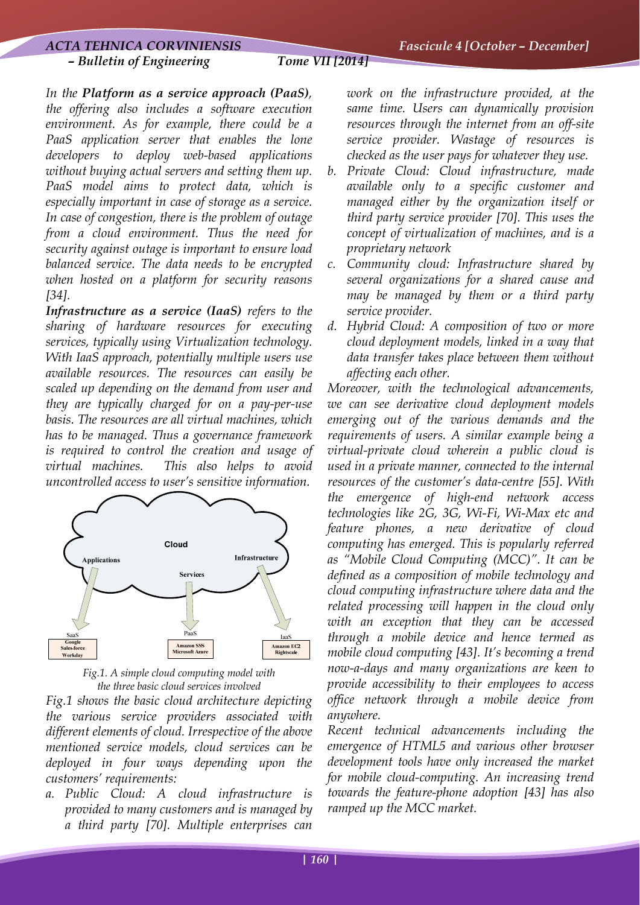*In the Platform as a service approach (PaaS), the offering also includes a software execution environment. As for example, there could be a PaaS application server that enables the lone developers to deploy web-based applications without buying actual servers and setting them up. PaaS model aims to protect data, which is especially important in case of storage as a service. In case of congestion, there is the problem of outage from a cloud environment. Thus the need for security against outage is important to ensure load balanced service. The data needs to be encrypted when hosted on a platform for security reasons [34].* 

*Infrastructure as a service (IaaS) refers to the sharing of hardware resources for executing services, typically using Virtualization technology. With IaaS approach, potentially multiple users use available resources. The resources can easily be scaled up depending on the demand from user and they are typically charged for on a pay-per-use basis. The resources are all virtual machines, which has to be managed. Thus a governance framework is required to control the creation and usage of virtual machines. This also helps to avoid uncontrolled access to user's sensitive information.* 



 *Fig.1. A simple cloud computing model with the three basic cloud services involved* 

*Fig.1 shows the basic cloud architecture depicting the various service providers associated with different elements of cloud. Irrespective of the above mentioned service models, cloud services can be deployed in four ways depending upon the customers' requirements:* 

*a. Public Cloud: A cloud infrastructure is provided to many customers and is managed by a third party [70]. Multiple enterprises can*  *work on the infrastructure provided, at the same time. Users can dynamically provision resources through the internet from an off-site service provider. Wastage of resources is checked as the user pays for whatever they use.* 

- *b. Private Cloud: Cloud infrastructure, made available only to a specific customer and managed either by the organization itself or third party service provider [70]. This uses the concept of virtualization of machines, and is a proprietary network*
- *c. Community cloud: Infrastructure shared by several organizations for a shared cause and may be managed by them or a third party service provider.*
- *d. Hybrid Cloud: A composition of two or more cloud deployment models, linked in a way that data transfer takes place between them without affecting each other.*

*Moreover, with the technological advancements, we can see derivative cloud deployment models emerging out of the various demands and the requirements of users. A similar example being a virtual-private cloud wherein a public cloud is used in a private manner, connected to the internal resources of the customer's data-centre [55]. With the emergence of high-end network access technologies like 2G, 3G, Wi-Fi, Wi-Max etc and feature phones, a new derivative of cloud computing has emerged. This is popularly referred as "Mobile Cloud Computing (MCC)". It can be defined as a composition of mobile technology and cloud computing infrastructure where data and the related processing will happen in the cloud only with an exception that they can be accessed through a mobile device and hence termed as mobile cloud computing [43]. It's becoming a trend now-a-days and many organizations are keen to provide accessibility to their employees to access office network through a mobile device from anywhere.* 

*Recent technical advancements including the emergence of HTML5 and various other browser development tools have only increased the market for mobile cloud-computing. An increasing trend towards the feature-phone adoption [43] has also ramped up the MCC market.*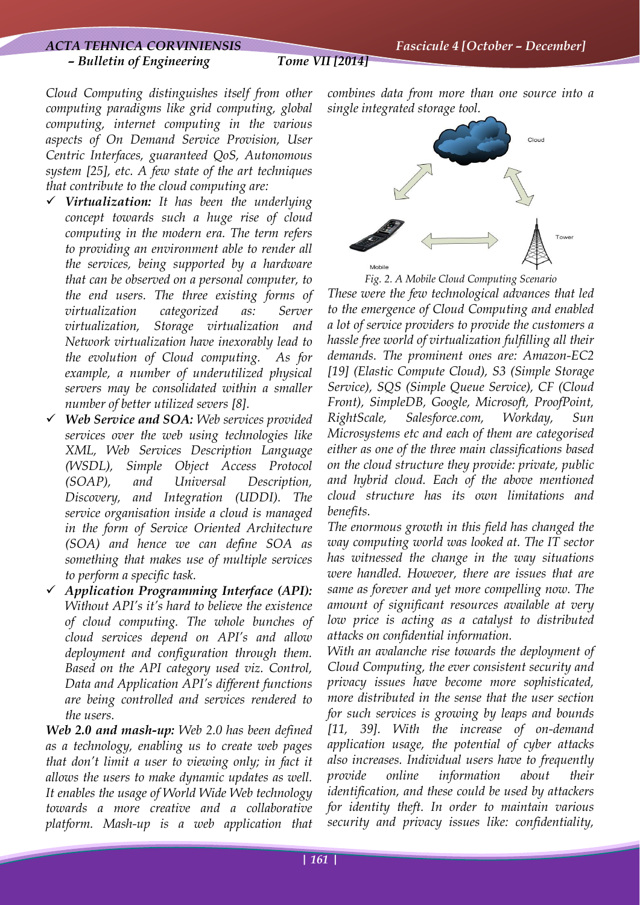*Cloud Computing distinguishes itself from other computing paradigms like grid computing, global computing, internet computing in the various aspects of On Demand Service Provision, User Centric Interfaces, guaranteed QoS, Autonomous system [25], etc. A few state of the art techniques that contribute to the cloud computing are:* 

- 9 *Virtualization: It has been the underlying concept towards such a huge rise of cloud computing in the modern era. The term refers to providing an environment able to render all the services, being supported by a hardware that can be observed on a personal computer, to the end users. The three existing forms of virtualization categorized as: Server virtualization, Storage virtualization and Network virtualization have inexorably lead to the evolution of Cloud computing. As for example, a number of underutilized physical servers may be consolidated within a smaller number of better utilized severs [8].*
- 9 *Web Service and SOA: Web services provided services over the web using technologies like XML, Web Services Description Language (WSDL), Simple Object Access Protocol (SOAP), and Universal Description, Discovery, and Integration (UDDI). The service organisation inside a cloud is managed in the form of Service Oriented Architecture (SOA) and hence we can define SOA as something that makes use of multiple services to perform a specific task.*
- 9 *Application Programming Interface (API): Without API's it's hard to believe the existence of cloud computing. The whole bunches of cloud services depend on API's and allow deployment and configuration through them. Based on the API category used viz. Control, Data and Application API's different functions are being controlled and services rendered to the users.*

*Web 2.0 and mash-up: Web 2.0 has been defined as a technology, enabling us to create web pages that don't limit a user to viewing only; in fact it allows the users to make dynamic updates as well. It enables the usage of World Wide Web technology towards a more creative and a collaborative platform. Mash-up is a web application that* 

*combines data from more than one source into a single integrated storage tool.* 



*Fig. 2. A Mobile Cloud Computing Scenario These were the few technological advances that led to the emergence of Cloud Computing and enabled a lot of service providers to provide the customers a hassle free world of virtualization fulfilling all their demands. The prominent ones are: Amazon-EC2 [19] (Elastic Compute Cloud), S3 (Simple Storage Service), SQS (Simple Queue Service), CF (Cloud Front), SimpleDB, Google, Microsoft, ProofPoint, RightScale, Salesforce.com, Workday, Sun Microsystems etc and each of them are categorised either as one of the three main classifications based on the cloud structure they provide: private, public and hybrid cloud. Each of the above mentioned cloud structure has its own limitations and benefits.* 

*The enormous growth in this field has changed the way computing world was looked at. The IT sector has witnessed the change in the way situations were handled. However, there are issues that are same as forever and yet more compelling now. The amount of significant resources available at very low price is acting as a catalyst to distributed attacks on confidential information.* 

*With an avalanche rise towards the deployment of Cloud Computing, the ever consistent security and privacy issues have become more sophisticated, more distributed in the sense that the user section for such services is growing by leaps and bounds [11, 39]. With the increase of on-demand application usage, the potential of cyber attacks also increases. Individual users have to frequently provide online information about their identification, and these could be used by attackers for identity theft. In order to maintain various security and privacy issues like: confidentiality,*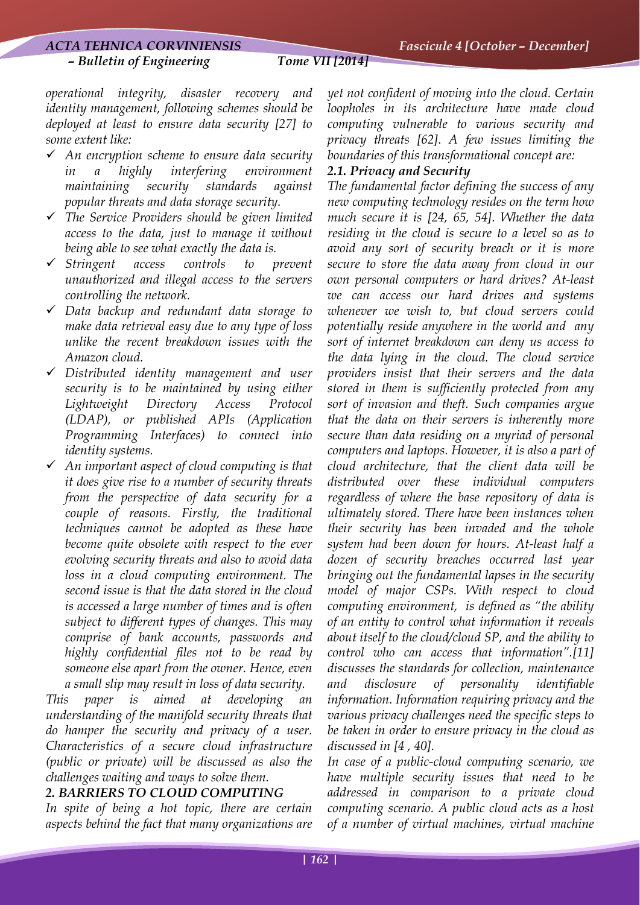#### *– Bulletin of Engineering Tome VII [2014]*

*operational integrity, disaster recovery and identity management, following schemes should be deployed at least to ensure data security [27] to some extent like:* 

- 9 *An encryption scheme to ensure data security in a highly interfering environment maintaining security standards against popular threats and data storage security.*
- 9 *The Service Providers should be given limited access to the data, just to manage it without being able to see what exactly the data is.*
- 9 *Stringent access controls to prevent unauthorized and illegal access to the servers controlling the network.*
- 9 *Data backup and redundant data storage to make data retrieval easy due to any type of loss unlike the recent breakdown issues with the Amazon cloud.*
- 9 *Distributed identity management and user security is to be maintained by using either Lightweight Directory Access Protocol (LDAP), or published APIs (Application Programming Interfaces) to connect into identity systems.*
- 9 *An important aspect of cloud computing is that it does give rise to a number of security threats from the perspective of data security for a couple of reasons. Firstly, the traditional techniques cannot be adopted as these have become quite obsolete with respect to the ever evolving security threats and also to avoid data loss in a cloud computing environment. The second issue is that the data stored in the cloud is accessed a large number of times and is often subject to different types of changes. This may comprise of bank accounts, passwords and highly confidential files not to be read by someone else apart from the owner. Hence, even a small slip may result in loss of data security.*

*This paper is aimed at developing an understanding of the manifold security threats that do hamper the security and privacy of a user. Characteristics of a secure cloud infrastructure (public or private) will be discussed as also the challenges waiting and ways to solve them.* 

## *2. BARRIERS TO CLOUD COMPUTING*

*In spite of being a hot topic, there are certain aspects behind the fact that many organizations are*  *yet not confident of moving into the cloud. Certain loopholes in its architecture have made cloud computing vulnerable to various security and privacy threats [62]. A few issues limiting the boundaries of this transformational concept are:* 

# *2.1. Privacy and Security*

*The fundamental factor defining the success of any new computing technology resides on the term how much secure it is [24, 65, 54]. Whether the data residing in the cloud is secure to a level so as to avoid any sort of security breach or it is more secure to store the data away from cloud in our own personal computers or hard drives? At-least we can access our hard drives and systems whenever we wish to, but cloud servers could potentially reside anywhere in the world and any sort of internet breakdown can deny us access to the data lying in the cloud. The cloud service providers insist that their servers and the data stored in them is sufficiently protected from any sort of invasion and theft. Such companies argue that the data on their servers is inherently more secure than data residing on a myriad of personal computers and laptops. However, it is also a part of cloud architecture, that the client data will be distributed over these individual computers regardless of where the base repository of data is ultimately stored. There have been instances when their security has been invaded and the whole system had been down for hours. At-least half a dozen of security breaches occurred last year bringing out the fundamental lapses in the security model of major CSPs. With respect to cloud computing environment, is defined as "the ability of an entity to control what information it reveals about itself to the cloud/cloud SP, and the ability to control who can access that information".[11] discusses the standards for collection, maintenance and disclosure of personality identifiable information. Information requiring privacy and the various privacy challenges need the specific steps to be taken in order to ensure privacy in the cloud as discussed in [4 , 40].* 

*In case of a public-cloud computing scenario, we have multiple security issues that need to be addressed in comparison to a private cloud computing scenario. A public cloud acts as a host of a number of virtual machines, virtual machine*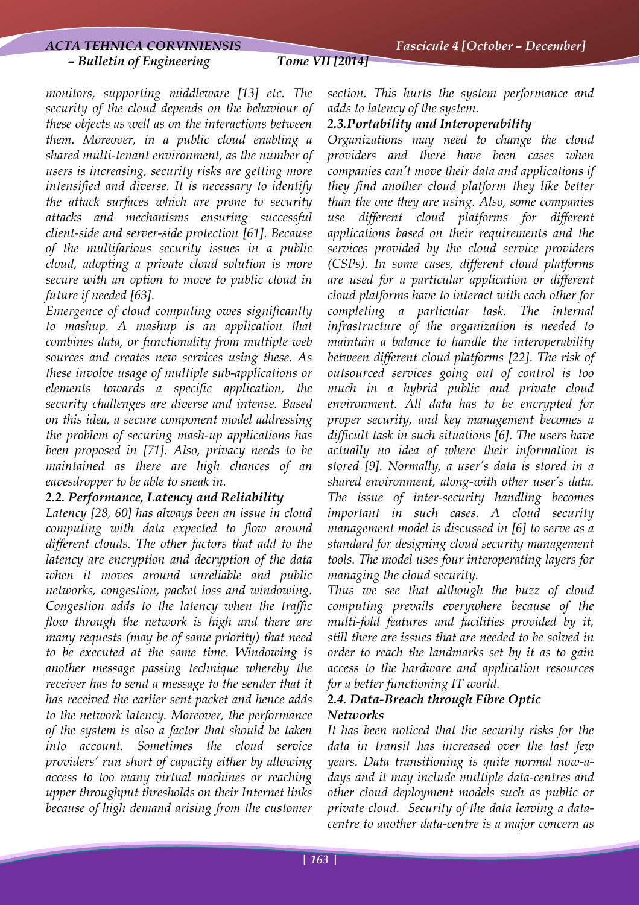*monitors, supporting middleware [13] etc. The security of the cloud depends on the behaviour of these objects as well as on the interactions between them. Moreover, in a public cloud enabling a shared multi-tenant environment, as the number of users is increasing, security risks are getting more intensified and diverse. It is necessary to identify the attack surfaces which are prone to security attacks and mechanisms ensuring successful client-side and server-side protection [61]. Because of the multifarious security issues in a public cloud, adopting a private cloud solution is more secure with an option to move to public cloud in future if needed [63].* 

*Emergence of cloud computing owes significantly to mashup. A mashup is an application that combines data, or functionality from multiple web sources and creates new services using these. As these involve usage of multiple sub-applications or elements towards a specific application, the security challenges are diverse and intense. Based on this idea, a secure component model addressing the problem of securing mash-up applications has been proposed in [71]. Also, privacy needs to be maintained as there are high chances of an eavesdropper to be able to sneak in.* 

# *2.2. Performance, Latency and Reliability*

*Latency [28, 60] has always been an issue in cloud computing with data expected to flow around different clouds. The other factors that add to the latency are encryption and decryption of the data when it moves around unreliable and public networks, congestion, packet loss and windowing. Congestion adds to the latency when the traffic flow through the network is high and there are many requests (may be of same priority) that need to be executed at the same time. Windowing is another message passing technique whereby the receiver has to send a message to the sender that it has received the earlier sent packet and hence adds to the network latency. Moreover, the performance of the system is also a factor that should be taken into account. Sometimes the cloud service providers' run short of capacity either by allowing access to too many virtual machines or reaching upper throughput thresholds on their Internet links because of high demand arising from the customer* 

*section. This hurts the system performance and adds to latency of the system.* 

# *2.3.Portability and Interoperability*

*Organizations may need to change the cloud providers and there have been cases when companies can't move their data and applications if they find another cloud platform they like better than the one they are using. Also, some companies use different cloud platforms for different applications based on their requirements and the services provided by the cloud service providers (CSPs). In some cases, different cloud platforms are used for a particular application or different cloud platforms have to interact with each other for completing a particular task. The internal infrastructure of the organization is needed to maintain a balance to handle the interoperability between different cloud platforms [22]. The risk of outsourced services going out of control is too much in a hybrid public and private cloud environment. All data has to be encrypted for proper security, and key management becomes a difficult task in such situations [6]. The users have actually no idea of where their information is stored [9]. Normally, a user's data is stored in a shared environment, along-with other user's data. The issue of inter-security handling becomes important in such cases. A cloud security management model is discussed in [6] to serve as a standard for designing cloud security management tools. The model uses four interoperating layers for managing the cloud security.* 

*Thus we see that although the buzz of cloud computing prevails everywhere because of the multi-fold features and facilities provided by it, still there are issues that are needed to be solved in order to reach the landmarks set by it as to gain access to the hardware and application resources for a better functioning IT world.* 

# *2.4. Data-Breach through Fibre Optic Networks*

*It has been noticed that the security risks for the data in transit has increased over the last few years. Data transitioning is quite normal now-adays and it may include multiple data-centres and other cloud deployment models such as public or private cloud. Security of the data leaving a datacentre to another data-centre is a major concern as*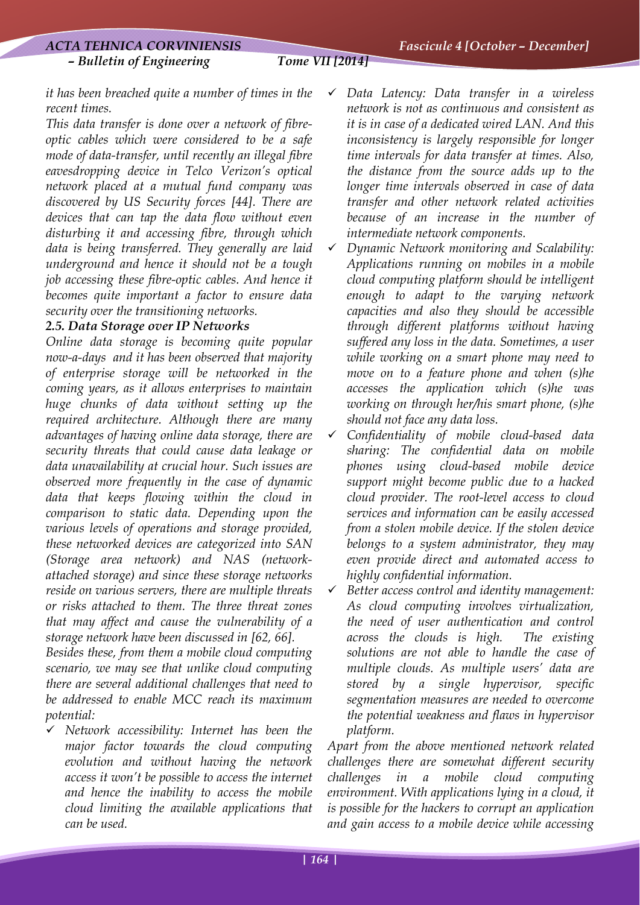*it has been breached quite a number of times in the recent times.* 

*This data transfer is done over a network of fibreoptic cables which were considered to be a safe mode of data-transfer, until recently an illegal fibre eavesdropping device in Telco Verizon's optical network placed at a mutual fund company was discovered by US Security forces [44]. There are devices that can tap the data flow without even disturbing it and accessing fibre, through which data is being transferred. They generally are laid underground and hence it should not be a tough job accessing these fibre-optic cables. And hence it becomes quite important a factor to ensure data security over the transitioning networks.* 

# *2.5. Data Storage over IP Networks*

*Online data storage is becoming quite popular now-a-days and it has been observed that majority of enterprise storage will be networked in the coming years, as it allows enterprises to maintain huge chunks of data without setting up the required architecture. Although there are many advantages of having online data storage, there are security threats that could cause data leakage or data unavailability at crucial hour. Such issues are observed more frequently in the case of dynamic data that keeps flowing within the cloud in comparison to static data. Depending upon the various levels of operations and storage provided, these networked devices are categorized into SAN (Storage area network) and NAS (networkattached storage) and since these storage networks reside on various servers, there are multiple threats or risks attached to them. The three threat zones that may affect and cause the vulnerability of a storage network have been discussed in [62, 66].* 

*Besides these, from them a mobile cloud computing scenario, we may see that unlike cloud computing there are several additional challenges that need to be addressed to enable MCC reach its maximum potential:* 

9 *Network accessibility: Internet has been the major factor towards the cloud computing evolution and without having the network access it won't be possible to access the internet and hence the inability to access the mobile cloud limiting the available applications that can be used.* 

- 9 *Data Latency: Data transfer in a wireless network is not as continuous and consistent as it is in case of a dedicated wired LAN. And this inconsistency is largely responsible for longer time intervals for data transfer at times. Also, the distance from the source adds up to the longer time intervals observed in case of data transfer and other network related activities because of an increase in the number of intermediate network components.*
- 9 *Dynamic Network monitoring and Scalability: Applications running on mobiles in a mobile cloud computing platform should be intelligent enough to adapt to the varying network capacities and also they should be accessible through different platforms without having suffered any loss in the data. Sometimes, a user while working on a smart phone may need to move on to a feature phone and when (s)he accesses the application which (s)he was working on through her/his smart phone, (s)he should not face any data loss.*
- 9 *Confidentiality of mobile cloud-based data sharing: The confidential data on mobile phones using cloud-based mobile device support might become public due to a hacked cloud provider. The root-level access to cloud services and information can be easily accessed from a stolen mobile device. If the stolen device belongs to a system administrator, they may even provide direct and automated access to highly confidential information.*
- 9 *Better access control and identity management: As cloud computing involves virtualization, the need of user authentication and control across the clouds is high. The existing solutions are not able to handle the case of multiple clouds. As multiple users' data are stored by a single hypervisor, specific segmentation measures are needed to overcome the potential weakness and flaws in hypervisor platform.*

*Apart from the above mentioned network related challenges there are somewhat different security challenges in a mobile cloud computing environment. With applications lying in a cloud, it is possible for the hackers to corrupt an application and gain access to a mobile device while accessing*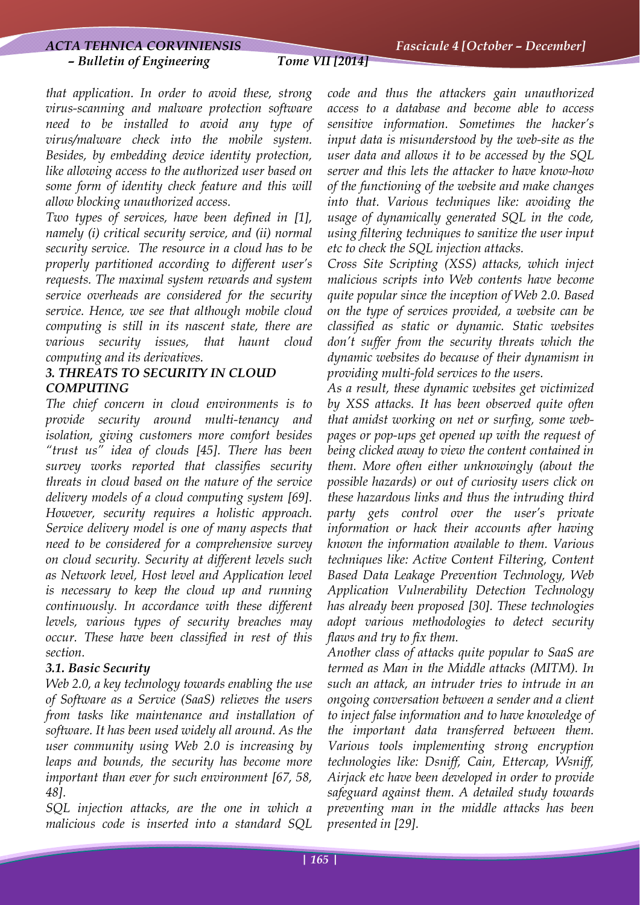*that application. In order to avoid these, strong virus-scanning and malware protection software need to be installed to avoid any type of virus/malware check into the mobile system. Besides, by embedding device identity protection, like allowing access to the authorized user based on some form of identity check feature and this will allow blocking unauthorized access.* 

*Two types of services, have been defined in [1], namely (i) critical security service, and (ii) normal security service. The resource in a cloud has to be properly partitioned according to different user's requests. The maximal system rewards and system service overheads are considered for the security service. Hence, we see that although mobile cloud computing is still in its nascent state, there are various security issues, that haunt cloud computing and its derivatives.* 

# *3. THREATS TO SECURITY IN CLOUD COMPUTING*

*The chief concern in cloud environments is to provide security around multi-tenancy and isolation, giving customers more comfort besides "trust us" idea of clouds [45]. There has been survey works reported that classifies security threats in cloud based on the nature of the service delivery models of a cloud computing system [69]. However, security requires a holistic approach. Service delivery model is one of many aspects that need to be considered for a comprehensive survey on cloud security. Security at different levels such as Network level, Host level and Application level is necessary to keep the cloud up and running continuously. In accordance with these different levels, various types of security breaches may occur. These have been classified in rest of this section.* 

# *3.1. Basic Security*

*Web 2.0, a key technology towards enabling the use of Software as a Service (SaaS) relieves the users from tasks like maintenance and installation of software. It has been used widely all around. As the user community using Web 2.0 is increasing by leaps and bounds, the security has become more important than ever for such environment [67, 58, 48].* 

*SQL injection attacks, are the one in which a malicious code is inserted into a standard SQL* 

*code and thus the attackers gain unauthorized access to a database and become able to access sensitive information. Sometimes the hacker's input data is misunderstood by the web-site as the user data and allows it to be accessed by the SQL server and this lets the attacker to have know-how of the functioning of the website and make changes into that. Various techniques like: avoiding the usage of dynamically generated SQL in the code, using filtering techniques to sanitize the user input etc to check the SQL injection attacks.* 

*Cross Site Scripting (XSS) attacks, which inject malicious scripts into Web contents have become quite popular since the inception of Web 2.0. Based on the type of services provided, a website can be classified as static or dynamic. Static websites don't suffer from the security threats which the dynamic websites do because of their dynamism in providing multi-fold services to the users.* 

*As a result, these dynamic websites get victimized by XSS attacks. It has been observed quite often that amidst working on net or surfing, some webpages or pop-ups get opened up with the request of being clicked away to view the content contained in them. More often either unknowingly (about the possible hazards) or out of curiosity users click on these hazardous links and thus the intruding third party gets control over the user's private information or hack their accounts after having known the information available to them. Various techniques like: Active Content Filtering, Content Based Data Leakage Prevention Technology, Web Application Vulnerability Detection Technology has already been proposed [30]. These technologies adopt various methodologies to detect security flaws and try to fix them.* 

*Another class of attacks quite popular to SaaS are termed as Man in the Middle attacks (MITM). In such an attack, an intruder tries to intrude in an ongoing conversation between a sender and a client to inject false information and to have knowledge of the important data transferred between them. Various tools implementing strong encryption technologies like: Dsniff, Cain, Ettercap, Wsniff, Airjack etc have been developed in order to provide safeguard against them. A detailed study towards preventing man in the middle attacks has been presented in [29].*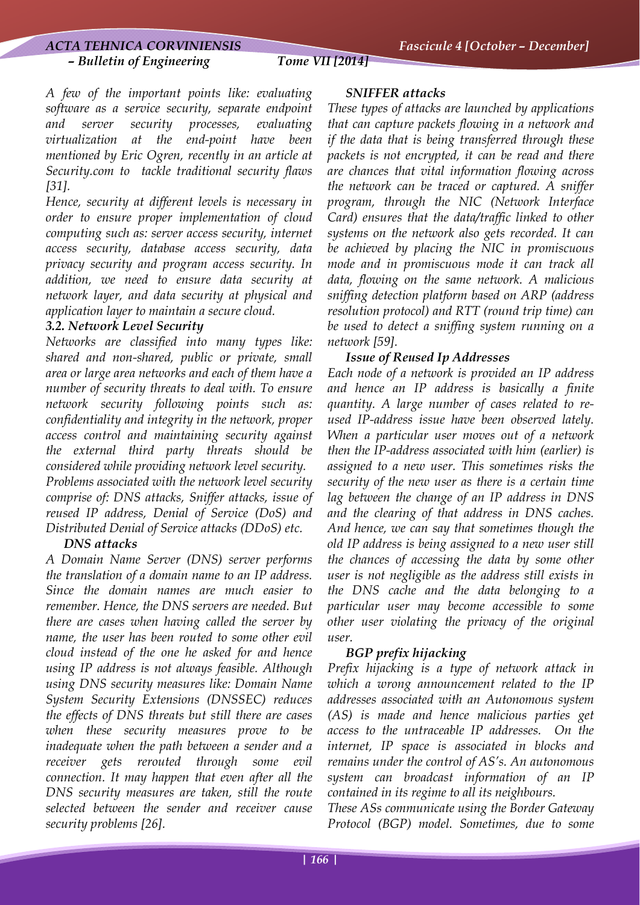*A few of the important points like: evaluating software as a service security, separate endpoint and server security processes, evaluating virtualization at the end-point have been mentioned by Eric Ogren, recently in an article at Security.com to tackle traditional security flaws [31].* 

*Hence, security at different levels is necessary in order to ensure proper implementation of cloud computing such as: server access security, internet access security, database access security, data privacy security and program access security. In addition, we need to ensure data security at network layer, and data security at physical and application layer to maintain a secure cloud.* 

#### *3.2. Network Level Security*

*Networks are classified into many types like: shared and non-shared, public or private, small area or large area networks and each of them have a number of security threats to deal with. To ensure network security following points such as: confidentiality and integrity in the network, proper access control and maintaining security against the external third party threats should be considered while providing network level security. Problems associated with the network level security comprise of: DNS attacks, Sniffer attacks, issue of reused IP address, Denial of Service (DoS) and Distributed Denial of Service attacks (DDoS) etc.* 

## *DNS attacks*

*A Domain Name Server (DNS) server performs the translation of a domain name to an IP address. Since the domain names are much easier to remember. Hence, the DNS servers are needed. But there are cases when having called the server by name, the user has been routed to some other evil cloud instead of the one he asked for and hence using IP address is not always feasible. Although using DNS security measures like: Domain Name System Security Extensions (DNSSEC) reduces the effects of DNS threats but still there are cases when these security measures prove to be inadequate when the path between a sender and a receiver gets rerouted through some evil connection. It may happen that even after all the DNS security measures are taken, still the route selected between the sender and receiver cause security problems [26].* 

#### *SNIFFER attacks*

*These types of attacks are launched by applications that can capture packets flowing in a network and if the data that is being transferred through these packets is not encrypted, it can be read and there are chances that vital information flowing across the network can be traced or captured. A sniffer program, through the NIC (Network Interface Card) ensures that the data/traffic linked to other systems on the network also gets recorded. It can be achieved by placing the NIC in promiscuous mode and in promiscuous mode it can track all data, flowing on the same network. A malicious sniffing detection platform based on ARP (address resolution protocol) and RTT (round trip time) can be used to detect a sniffing system running on a network [59].* 

# *Issue of Reused Ip Addresses*

*Each node of a network is provided an IP address and hence an IP address is basically a finite quantity. A large number of cases related to reused IP-address issue have been observed lately. When a particular user moves out of a network then the IP-address associated with him (earlier) is assigned to a new user. This sometimes risks the security of the new user as there is a certain time lag between the change of an IP address in DNS and the clearing of that address in DNS caches. And hence, we can say that sometimes though the old IP address is being assigned to a new user still the chances of accessing the data by some other user is not negligible as the address still exists in the DNS cache and the data belonging to a particular user may become accessible to some other user violating the privacy of the original user.* 

## *BGP prefix hijacking*

*Prefix hijacking is a type of network attack in which a wrong announcement related to the IP addresses associated with an Autonomous system (AS) is made and hence malicious parties get access to the untraceable IP addresses. On the internet, IP space is associated in blocks and remains under the control of AS's. An autonomous system can broadcast information of an IP contained in its regime to all its neighbours.* 

*These ASs communicate using the Border Gateway Protocol (BGP) model. Sometimes, due to some*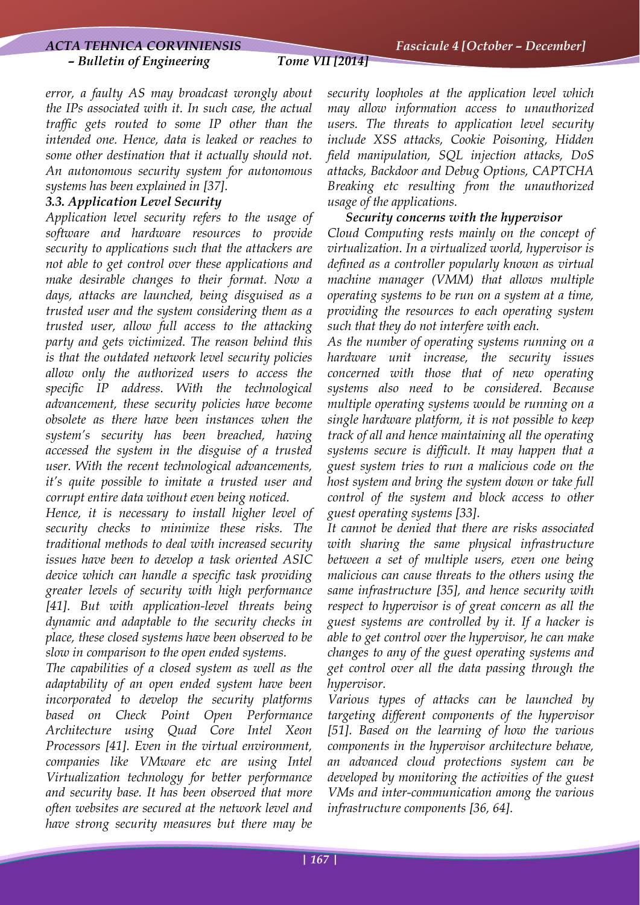*error, a faulty AS may broadcast wrongly about the IPs associated with it. In such case, the actual traffic gets routed to some IP other than the intended one. Hence, data is leaked or reaches to some other destination that it actually should not. An autonomous security system for autonomous systems has been explained in [37].* 

# *3.3. Application Level Security*

*Application level security refers to the usage of software and hardware resources to provide security to applications such that the attackers are not able to get control over these applications and make desirable changes to their format. Now a days, attacks are launched, being disguised as a trusted user and the system considering them as a trusted user, allow full access to the attacking party and gets victimized. The reason behind this is that the outdated network level security policies allow only the authorized users to access the specific IP address. With the technological advancement, these security policies have become obsolete as there have been instances when the system's security has been breached, having accessed the system in the disguise of a trusted user. With the recent technological advancements, it's quite possible to imitate a trusted user and corrupt entire data without even being noticed.* 

*Hence, it is necessary to install higher level of security checks to minimize these risks. The traditional methods to deal with increased security issues have been to develop a task oriented ASIC device which can handle a specific task providing greater levels of security with high performance [41]. But with application-level threats being dynamic and adaptable to the security checks in place, these closed systems have been observed to be slow in comparison to the open ended systems.* 

*The capabilities of a closed system as well as the adaptability of an open ended system have been incorporated to develop the security platforms based on Check Point Open Performance Architecture using Quad Core Intel Xeon Processors [41]. Even in the virtual environment, companies like VMware etc are using Intel Virtualization technology for better performance and security base. It has been observed that more often websites are secured at the network level and have strong security measures but there may be* 

*security loopholes at the application level which may allow information access to unauthorized users. The threats to application level security include XSS attacks, Cookie Poisoning, Hidden field manipulation, SQL injection attacks, DoS attacks, Backdoor and Debug Options, CAPTCHA Breaking etc resulting from the unauthorized usage of the applications.* 

# *Security concerns with the hypervisor*

*Cloud Computing rests mainly on the concept of virtualization. In a virtualized world, hypervisor is defined as a controller popularly known as virtual machine manager (VMM) that allows multiple operating systems to be run on a system at a time, providing the resources to each operating system such that they do not interfere with each.* 

*As the number of operating systems running on a hardware unit increase, the security issues concerned with those that of new operating systems also need to be considered. Because multiple operating systems would be running on a single hardware platform, it is not possible to keep track of all and hence maintaining all the operating systems secure is difficult. It may happen that a guest system tries to run a malicious code on the host system and bring the system down or take full control of the system and block access to other guest operating systems [33].* 

*It cannot be denied that there are risks associated with sharing the same physical infrastructure between a set of multiple users, even one being malicious can cause threats to the others using the same infrastructure [35], and hence security with respect to hypervisor is of great concern as all the guest systems are controlled by it. If a hacker is able to get control over the hypervisor, he can make changes to any of the guest operating systems and get control over all the data passing through the hypervisor.* 

*Various types of attacks can be launched by targeting different components of the hypervisor [51]. Based on the learning of how the various components in the hypervisor architecture behave, an advanced cloud protections system can be developed by monitoring the activities of the guest VMs and inter-communication among the various infrastructure components [36, 64].*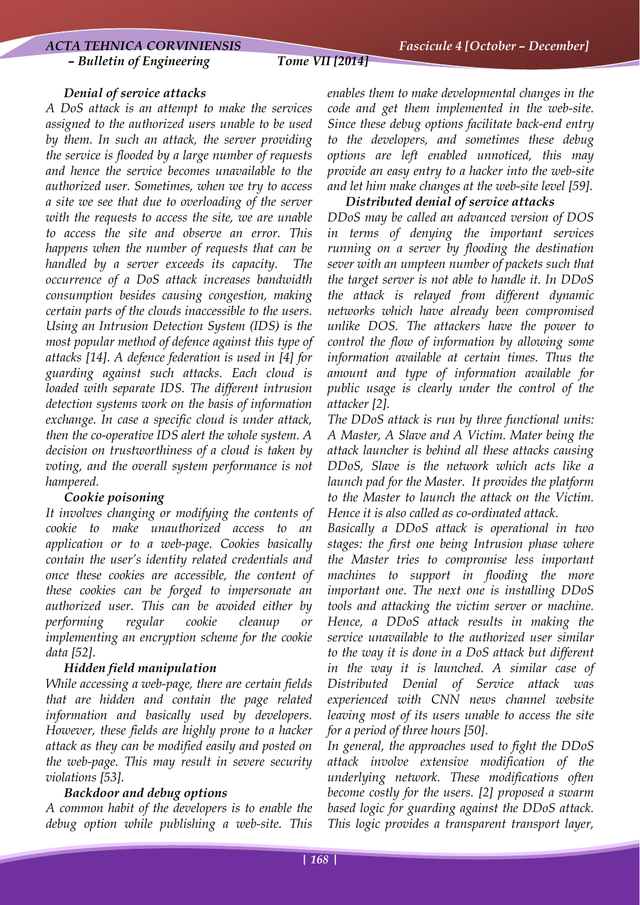# *Denial of service attacks*

*A DoS attack is an attempt to make the services assigned to the authorized users unable to be used by them. In such an attack, the server providing the service is flooded by a large number of requests and hence the service becomes unavailable to the authorized user. Sometimes, when we try to access a site we see that due to overloading of the server with the requests to access the site, we are unable to access the site and observe an error. This happens when the number of requests that can be handled by a server exceeds its capacity. The occurrence of a DoS attack increases bandwidth consumption besides causing congestion, making certain parts of the clouds inaccessible to the users. Using an Intrusion Detection System (IDS) is the most popular method of defence against this type of attacks [14]. A defence federation is used in [4] for guarding against such attacks. Each cloud is loaded with separate IDS. The different intrusion detection systems work on the basis of information exchange. In case a specific cloud is under attack, then the co-operative IDS alert the whole system. A decision on trustworthiness of a cloud is taken by voting, and the overall system performance is not hampered.* 

# *Cookie poisoning*

*It involves changing or modifying the contents of cookie to make unauthorized access to an application or to a web-page. Cookies basically contain the user's identity related credentials and once these cookies are accessible, the content of these cookies can be forged to impersonate an authorized user. This can be avoided either by performing regular cookie cleanup or implementing an encryption scheme for the cookie data [52].* 

# *Hidden field manipulation*

*While accessing a web-page, there are certain fields that are hidden and contain the page related information and basically used by developers. However, these fields are highly prone to a hacker attack as they can be modified easily and posted on the web-page. This may result in severe security violations [53].* 

# *Backdoor and debug options*

*A common habit of the developers is to enable the debug option while publishing a web-site. This*  *enables them to make developmental changes in the code and get them implemented in the web-site. Since these debug options facilitate back-end entry to the developers, and sometimes these debug options are left enabled unnoticed, this may provide an easy entry to a hacker into the web-site and let him make changes at the web-site level [59].* 

# *Distributed denial of service attacks*

*DDoS may be called an advanced version of DOS in terms of denying the important services running on a server by flooding the destination sever with an umpteen number of packets such that the target server is not able to handle it. In DDoS the attack is relayed from different dynamic networks which have already been compromised unlike DOS. The attackers have the power to control the flow of information by allowing some information available at certain times. Thus the amount and type of information available for public usage is clearly under the control of the attacker [2].* 

*The DDoS attack is run by three functional units: A Master, A Slave and A Victim. Mater being the attack launcher is behind all these attacks causing DDoS, Slave is the network which acts like a launch pad for the Master. It provides the platform to the Master to launch the attack on the Victim. Hence it is also called as co-ordinated attack.* 

*Basically a DDoS attack is operational in two stages: the first one being Intrusion phase where the Master tries to compromise less important machines to support in flooding the more important one. The next one is installing DDoS tools and attacking the victim server or machine. Hence, a DDoS attack results in making the service unavailable to the authorized user similar to the way it is done in a DoS attack but different in the way it is launched. A similar case of Distributed Denial of Service attack was experienced with CNN news channel website leaving most of its users unable to access the site for a period of three hours [50].* 

*In general, the approaches used to fight the DDoS attack involve extensive modification of the underlying network. These modifications often become costly for the users. [2] proposed a swarm based logic for guarding against the DDoS attack. This logic provides a transparent transport layer,*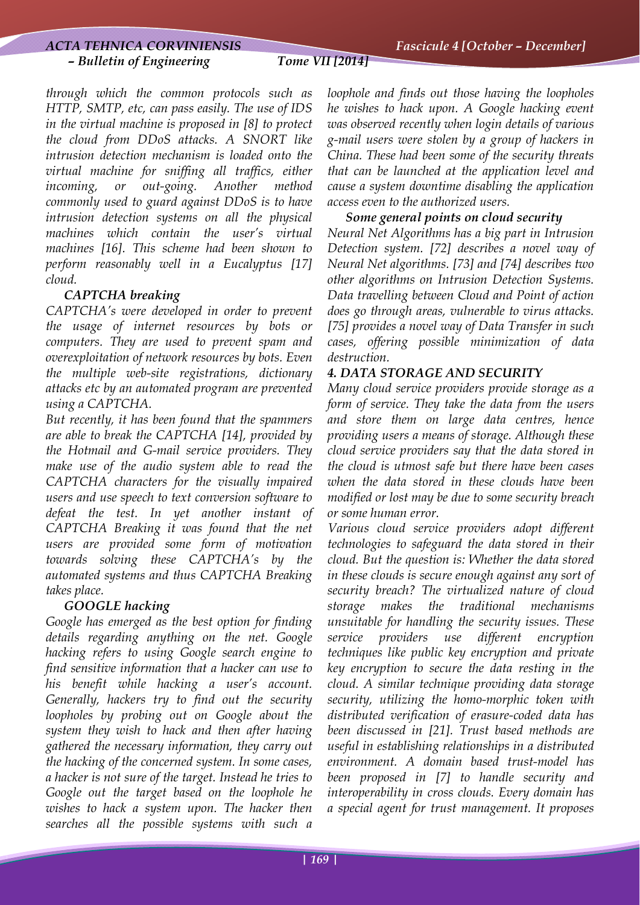*through which the common protocols such as HTTP, SMTP, etc, can pass easily. The use of IDS in the virtual machine is proposed in [8] to protect the cloud from DDoS attacks. A SNORT like intrusion detection mechanism is loaded onto the virtual machine for sniffing all traffics, either incoming, or out-going. Another method commonly used to guard against DDoS is to have intrusion detection systems on all the physical machines which contain the user's virtual machines [16]. This scheme had been shown to perform reasonably well in a Eucalyptus [17] cloud.* 

# *CAPTCHA breaking*

*CAPTCHA's were developed in order to prevent the usage of internet resources by bots or computers. They are used to prevent spam and overexploitation of network resources by bots. Even the multiple web-site registrations, dictionary attacks etc by an automated program are prevented using a CAPTCHA.* 

*But recently, it has been found that the spammers are able to break the CAPTCHA [14], provided by the Hotmail and G-mail service providers. They make use of the audio system able to read the CAPTCHA characters for the visually impaired users and use speech to text conversion software to defeat the test. In yet another instant of CAPTCHA Breaking it was found that the net users are provided some form of motivation towards solving these CAPTCHA's by the automated systems and thus CAPTCHA Breaking takes place.* 

# *GOOGLE hacking*

*Google has emerged as the best option for finding details regarding anything on the net. Google hacking refers to using Google search engine to find sensitive information that a hacker can use to his benefit while hacking a user's account. Generally, hackers try to find out the security loopholes by probing out on Google about the system they wish to hack and then after having gathered the necessary information, they carry out the hacking of the concerned system. In some cases, a hacker is not sure of the target. Instead he tries to Google out the target based on the loophole he wishes to hack a system upon. The hacker then searches all the possible systems with such a* 

*loophole and finds out those having the loopholes he wishes to hack upon. A Google hacking event was observed recently when login details of various g-mail users were stolen by a group of hackers in China. These had been some of the security threats that can be launched at the application level and cause a system downtime disabling the application access even to the authorized users.* 

## *Some general points on cloud security*

*Neural Net Algorithms has a big part in Intrusion Detection system. [72] describes a novel way of Neural Net algorithms. [73] and [74] describes two other algorithms on Intrusion Detection Systems. Data travelling between Cloud and Point of action does go through areas, vulnerable to virus attacks. [75] provides a novel way of Data Transfer in such cases, offering possible minimization of data destruction.* 

## *4. DATA STORAGE AND SECURITY*

*Many cloud service providers provide storage as a form of service. They take the data from the users and store them on large data centres, hence providing users a means of storage. Although these cloud service providers say that the data stored in the cloud is utmost safe but there have been cases when the data stored in these clouds have been modified or lost may be due to some security breach or some human error.* 

*Various cloud service providers adopt different technologies to safeguard the data stored in their cloud. But the question is: Whether the data stored in these clouds is secure enough against any sort of security breach? The virtualized nature of cloud storage makes the traditional mechanisms unsuitable for handling the security issues. These service providers use different encryption techniques like public key encryption and private key encryption to secure the data resting in the cloud. A similar technique providing data storage security, utilizing the homo-morphic token with distributed verification of erasure-coded data has been discussed in [21]. Trust based methods are useful in establishing relationships in a distributed environment. A domain based trust-model has been proposed in [7] to handle security and interoperability in cross clouds. Every domain has a special agent for trust management. It proposes*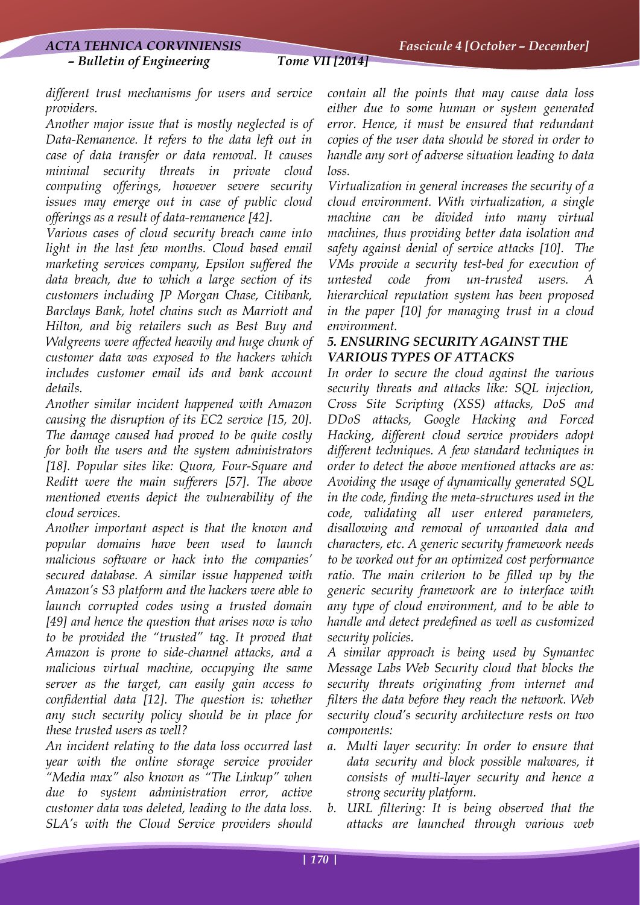*different trust mechanisms for users and service providers.* 

*Another major issue that is mostly neglected is of Data-Remanence. It refers to the data left out in case of data transfer or data removal. It causes minimal security threats in private cloud computing offerings, however severe security issues may emerge out in case of public cloud offerings as a result of data-remanence [42].* 

*Various cases of cloud security breach came into light in the last few months. Cloud based email marketing services company, Epsilon suffered the data breach, due to which a large section of its customers including JP Morgan Chase, Citibank, Barclays Bank, hotel chains such as Marriott and Hilton, and big retailers such as Best Buy and Walgreens were affected heavily and huge chunk of customer data was exposed to the hackers which includes customer email ids and bank account details.* 

*Another similar incident happened with Amazon causing the disruption of its EC2 service [15, 20]. The damage caused had proved to be quite costly for both the users and the system administrators [18]. Popular sites like: Quora, Four-Square and Reditt were the main sufferers [57]. The above mentioned events depict the vulnerability of the cloud services.* 

*Another important aspect is that the known and popular domains have been used to launch malicious software or hack into the companies' secured database. A similar issue happened with Amazon's S3 platform and the hackers were able to launch corrupted codes using a trusted domain [49] and hence the question that arises now is who to be provided the "trusted" tag. It proved that Amazon is prone to side-channel attacks, and a malicious virtual machine, occupying the same server as the target, can easily gain access to confidential data [12]. The question is: whether any such security policy should be in place for these trusted users as well?* 

*An incident relating to the data loss occurred last year with the online storage service provider "Media max" also known as "The Linkup" when due to system administration error, active customer data was deleted, leading to the data loss. SLA's with the Cloud Service providers should* 

*contain all the points that may cause data loss either due to some human or system generated error. Hence, it must be ensured that redundant copies of the user data should be stored in order to handle any sort of adverse situation leading to data loss.* 

*Virtualization in general increases the security of a cloud environment. With virtualization, a single machine can be divided into many virtual machines, thus providing better data isolation and safety against denial of service attacks [10]. The VMs provide a security test-bed for execution of untested code from un-trusted users. A hierarchical reputation system has been proposed in the paper [10] for managing trust in a cloud environment.* 

# *5. ENSURING SECURITY AGAINST THE VARIOUS TYPES OF ATTACKS*

*In order to secure the cloud against the various security threats and attacks like: SQL injection, Cross Site Scripting (XSS) attacks, DoS and DDoS attacks, Google Hacking and Forced Hacking, different cloud service providers adopt different techniques. A few standard techniques in order to detect the above mentioned attacks are as: Avoiding the usage of dynamically generated SQL in the code, finding the meta-structures used in the code, validating all user entered parameters, disallowing and removal of unwanted data and characters, etc. A generic security framework needs to be worked out for an optimized cost performance ratio. The main criterion to be filled up by the generic security framework are to interface with any type of cloud environment, and to be able to handle and detect predefined as well as customized security policies.* 

*A similar approach is being used by Symantec Message Labs Web Security cloud that blocks the security threats originating from internet and filters the data before they reach the network. Web security cloud's security architecture rests on two components:* 

- *a. Multi layer security: In order to ensure that data security and block possible malwares, it consists of multi-layer security and hence a strong security platform.*
- *b. URL filtering: It is being observed that the attacks are launched through various web*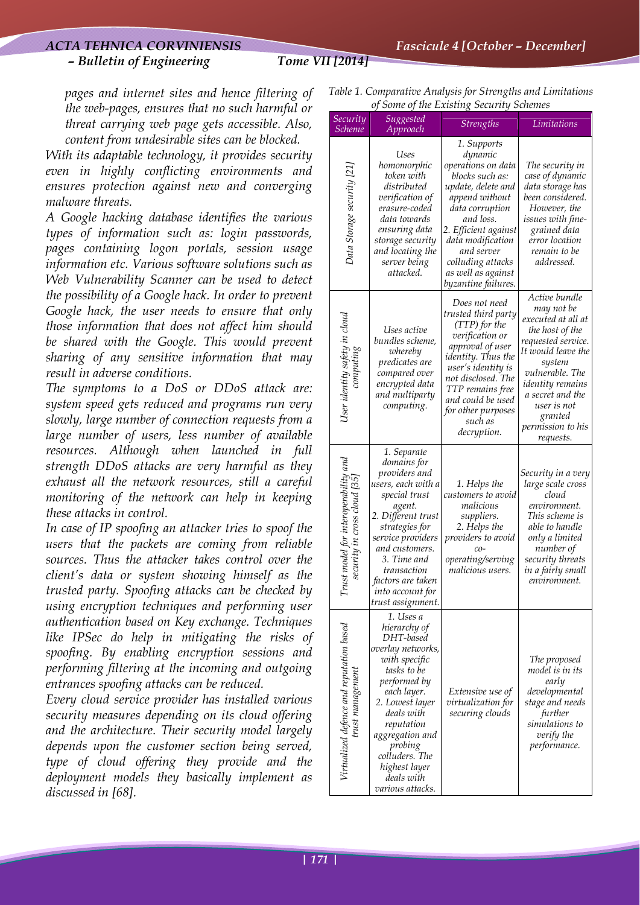*pages and internet sites and hence filtering of the web-pages, ensures that no such harmful or threat carrying web page gets accessible. Also, content from undesirable sites can be blocked.* 

*With its adaptable technology, it provides security even in highly conflicting environments and ensures protection against new and converging malware threats.* 

*A Google hacking database identifies the various types of information such as: login passwords, pages containing logon portals, session usage information etc. Various software solutions such as Web Vulnerability Scanner can be used to detect the possibility of a Google hack. In order to prevent Google hack, the user needs to ensure that only those information that does not affect him should be shared with the Google. This would prevent sharing of any sensitive information that may result in adverse conditions.* 

*The symptoms to a DoS or DDoS attack are: system speed gets reduced and programs run very slowly, large number of connection requests from a large number of users, less number of available resources. Although when launched in full strength DDoS attacks are very harmful as they exhaust all the network resources, still a careful monitoring of the network can help in keeping these attacks in control.* 

*In case of IP spoofing an attacker tries to spoof the users that the packets are coming from reliable sources. Thus the attacker takes control over the client's data or system showing himself as the trusted party. Spoofing attacks can be checked by using encryption techniques and performing user authentication based on Key exchange. Techniques like IPSec do help in mitigating the risks of spoofing. By enabling encryption sessions and performing filtering at the incoming and outgoing entrances spoofing attacks can be reduced.* 

*Every cloud service provider has installed various security measures depending on its cloud offering and the architecture. Their security model largely depends upon the customer section being served, type of cloud offering they provide and the deployment models they basically implement as discussed in [68].* 

| Security<br><b>Scheme</b>                                            | Suggested<br>Approach                                                                                                                                                                                                                                                   | <b>Strengths</b>                                                                                                                                                                                                                                                     | Limitations                                                                                                                                                                                                                                       |
|----------------------------------------------------------------------|-------------------------------------------------------------------------------------------------------------------------------------------------------------------------------------------------------------------------------------------------------------------------|----------------------------------------------------------------------------------------------------------------------------------------------------------------------------------------------------------------------------------------------------------------------|---------------------------------------------------------------------------------------------------------------------------------------------------------------------------------------------------------------------------------------------------|
| Data Storage security [21]                                           | Uses<br>homomorphic<br>token with<br>distributed<br>verification of<br>erasure-coded<br>data towards<br>ensuring data<br>storage security<br>and locating the<br>server being<br>attacked.                                                                              | 1. Supports<br>dynamic<br>operations on data<br>blocks such as:<br>update, delete and<br>append without<br>data corruption<br>and loss.<br>2. Efficient against<br>data modification<br>and server<br>colluding attacks<br>as well as against<br>byzantine failures. | The security in<br>case of dynamic<br>data storage has<br>been considered.<br>However, the<br>issues with fine-<br>grained data<br>error location<br>remain to be<br>addressed.                                                                   |
| User identity safety in cloud<br>computing                           | Uses active<br>bundles scheme,<br>whereby<br>predicates are<br>compared over<br>encrypted data<br>and multiparty<br>computing.                                                                                                                                          | Does not need<br>trusted third party<br>(TTP) for the<br>verification or<br>approval of user<br>identity. Thus the<br>user's identity is<br>not disclosed. The<br>TTP remains free<br>and could be used<br>for other purposes<br>such as<br>decryption.              | Active bundle<br>may not be<br>executed at all at<br>the host of the<br>requested service.<br>It would leave the<br>system<br>vulnerable. The<br>identity remains<br>a secret and the<br>user is not<br>granted<br>permission to his<br>requests. |
| Trust model for interoperability and<br>security in cross cloud [35] | 1. Separate<br>domains for<br>providers and<br>users, each with a<br>special trust<br>agent.<br>2. Different trust<br>strategies for<br>service providers<br>and customers.<br>3. Time and<br>transaction<br>factors are taken<br>into account for<br>trust assignment. | 1. Helps the<br>customers to avoid<br>malicious<br>suppliers.<br>2. Helps the<br>providers to avoid<br>$co-$<br>operating/serving<br>malicious users.                                                                                                                | Security in a very<br>large scale cross<br>cloud<br>environment.<br>This scheme is<br>able to handle<br>only a limited<br>number of<br>security threats<br>in a fairly small<br>environment.                                                      |
| Virtualized defence and reputation based<br>trust managemen          | 1. Uses a<br>hierarchy of<br>DHT-based<br>overlay networks,<br>with specific<br>tasks to be<br>performed by<br>each layer.<br>2. Lowest layer<br>deals with<br>reputation<br>aggregation and<br>probing<br>colluders. The<br>highest layer<br>deals with                | Extensive use of<br>virtualization for<br>securing clouds                                                                                                                                                                                                            | The proposed<br>model is in its<br>early<br>developmental<br>stage and needs<br>further<br>simulations to<br>verify the<br>performance.                                                                                                           |

*Table 1. Comparative Analysis for Strengths and Limitations of Some of the Existing Security Schemes* 

*highest layer deals with various attacks.*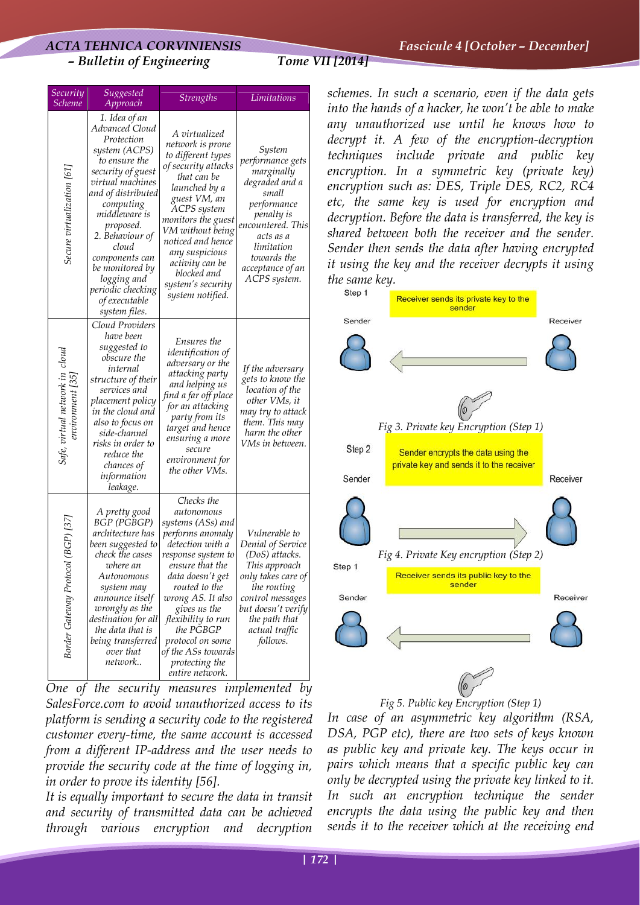*– Bulletin of Engineering Tome VII [2014]*

| Security<br><b>Scheme</b>                          | Suggested<br>Approach                                                                                                                                                                                                                                                                                                            | <b>Strengths</b>                                                                                                                                                                                                                                                                                                           | Limitations                                                                                                                                                                                                |
|----------------------------------------------------|----------------------------------------------------------------------------------------------------------------------------------------------------------------------------------------------------------------------------------------------------------------------------------------------------------------------------------|----------------------------------------------------------------------------------------------------------------------------------------------------------------------------------------------------------------------------------------------------------------------------------------------------------------------------|------------------------------------------------------------------------------------------------------------------------------------------------------------------------------------------------------------|
| Secure virtualization [61]                         | 1. Idea of an<br>Advanced Cloud<br>Protection<br>system (ACPS)<br>to ensure the<br>security of guest<br>virtual machines<br>and of distributed<br>computing<br>middleware is<br>proposed.<br>2. Behaviour of<br>cloud<br>components can<br>be monitored by<br>logging and<br>periodic checking<br>of executable<br>system files. | A virtualized<br>network is prone<br>to different types<br>of security attacks<br>that can be<br>launched by a<br>guest VM, an<br>ACPS system<br>monitors the guest<br>VM without being<br>noticed and hence<br>any suspicious<br>activity can be<br>blocked and<br>system's security<br>system notified.                  | System<br>performance gets<br>marginally<br>degraded and a<br>small<br>performance<br><i>penalty is</i><br>encountered. This<br>acts as a<br>limitation<br>towards the<br>acceptance of an<br>ACPS system. |
| Safe, virtual network in cloud<br>environment [35] | Cloud Providers<br>have been<br>suggested to<br>obscure the<br>internal<br>structure of their<br>services and<br>placement policy<br>in the cloud and<br>also to focus on<br>side-channel<br>risks in order to<br>reduce the<br>chances of<br>information<br>leakage.                                                            | Ensures the<br>identification of<br>adversary or the<br>attacking party<br>and helping us<br>find a far off place<br>for an attacking<br>party from its<br>target and hence<br>ensuring a more<br>secure<br>environment for<br>the other VMs.                                                                              | If the adversary<br>gets to know the<br>location of the<br>other VMs, it<br>may try to attack<br>them. This may<br>harm the other<br>VMs in between.                                                       |
| Border Gateway Protocol (BGP) [37]                 | A pretty good<br><b>BGP</b> (PGBGP)<br>architecture has<br>been suggested to<br>check the cases<br>where an<br>Autonomous<br>system may<br>announce itself<br>wrongly as the<br>destination for all<br>the data that is<br>being transferred<br>over that<br>network                                                             | Checks the<br>autonomous<br>systems (ASs) and<br>performs anomaly<br>detection with a<br>response system to<br>ensure that the<br>data doesn't get<br>routed to the<br>wrong AS. It also<br>gives us the<br>flexibility to run<br>the PGBGP<br>protocol on some<br>of the ASs towards<br>protecting the<br>entire network. | Vulnerable to<br>Denial of Service<br>(DoS) attacks.<br>This approach<br>only takes care of<br>the routing<br>control messages<br>but doesn't verify<br>the path that<br>actual traffic<br>follows.        |

*One of the security measures implemented by SalesForce.com to avoid unauthorized access to its platform is sending a security code to the registered customer every-time, the same account is accessed from a different IP-address and the user needs to provide the security code at the time of logging in, in order to prove its identity [56].* 

*It is equally important to secure the data in transit and security of transmitted data can be achieved through various encryption and decryption*  *schemes. In such a scenario, even if the data gets into the hands of a hacker, he won't be able to make any unauthorized use until he knows how to decrypt it. A few of the encryption-decryption techniques include private and public key encryption. In a symmetric key (private key) encryption such as: DES, Triple DES, RC2, RC4 etc, the same key is used for encryption and decryption. Before the data is transferred, the key is shared between both the receiver and the sender. Sender then sends the data after having encrypted it using the key and the receiver decrypts it using the same key.* 



*Fig 5. Public key Encryption (Step 1)* 

*In case of an asymmetric key algorithm (RSA, DSA, PGP etc), there are two sets of keys known as public key and private key. The keys occur in pairs which means that a specific public key can only be decrypted using the private key linked to it.*  In such an encryption technique the sender *encrypts the data using the public key and then sends it to the receiver which at the receiving end*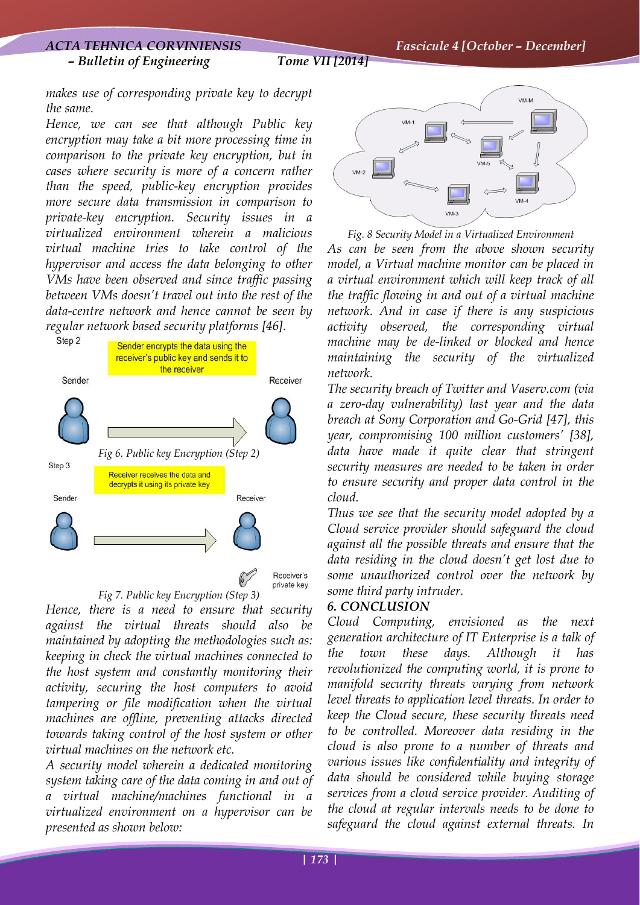#### *ACTA TEHNICA CORVINIENSIS Fascicule 4 [October – December] – Bulletin of Engineering Tome VII [2014]*

*makes use of corresponding private key to decrypt the same.* 

*Hence, we can see that although Public key encryption may take a bit more processing time in comparison to the private key encryption, but in cases where security is more of a concern rather than the speed, public-key encryption provides more secure data transmission in comparison to private-key encryption. Security issues in a virtualized environment wherein a malicious virtual machine tries to take control of the hypervisor and access the data belonging to other VMs have been observed and since traffic passing between VMs doesn't travel out into the rest of the data-centre network and hence cannot be seen by regular network based security platforms [46].* 



Receiver's private key

# *Fig 7. Public key Encryption (Step 3)*

*Hence, there is a need to ensure that security against the virtual threats should also be maintained by adopting the methodologies such as: keeping in check the virtual machines connected to the host system and constantly monitoring their activity, securing the host computers to avoid tampering or file modification when the virtual machines are offline, preventing attacks directed towards taking control of the host system or other virtual machines on the network etc.* 

*A security model wherein a dedicated monitoring system taking care of the data coming in and out of a virtual machine/machines functional in a virtualized environment on a hypervisor can be presented as shown below:* 



*Fig. 8 Security Model in a Virtualized Environment As can be seen from the above shown security model, a Virtual machine monitor can be placed in a virtual environment which will keep track of all the traffic flowing in and out of a virtual machine network. And in case if there is any suspicious activity observed, the corresponding virtual machine may be de-linked or blocked and hence maintaining the security of the virtualized network.* 

*The security breach of Twitter and Vaserv.com (via a zero-day vulnerability) last year and the data breach at Sony Corporation and Go-Grid [47], this year, compromising 100 million customers' [38], data have made it quite clear that stringent security measures are needed to be taken in order to ensure security and proper data control in the cloud.* 

*Thus we see that the security model adopted by a Cloud service provider should safeguard the cloud against all the possible threats and ensure that the data residing in the cloud doesn't get lost due to some unauthorized control over the network by some third party intruder.* 

## *6. CONCLUSION*

*Cloud Computing, envisioned as the next generation architecture of IT Enterprise is a talk of the town these days. Although it has revolutionized the computing world, it is prone to manifold security threats varying from network level threats to application level threats. In order to keep the Cloud secure, these security threats need to be controlled. Moreover data residing in the cloud is also prone to a number of threats and various issues like confidentiality and integrity of data should be considered while buying storage services from a cloud service provider. Auditing of the cloud at regular intervals needs to be done to safeguard the cloud against external threats. In*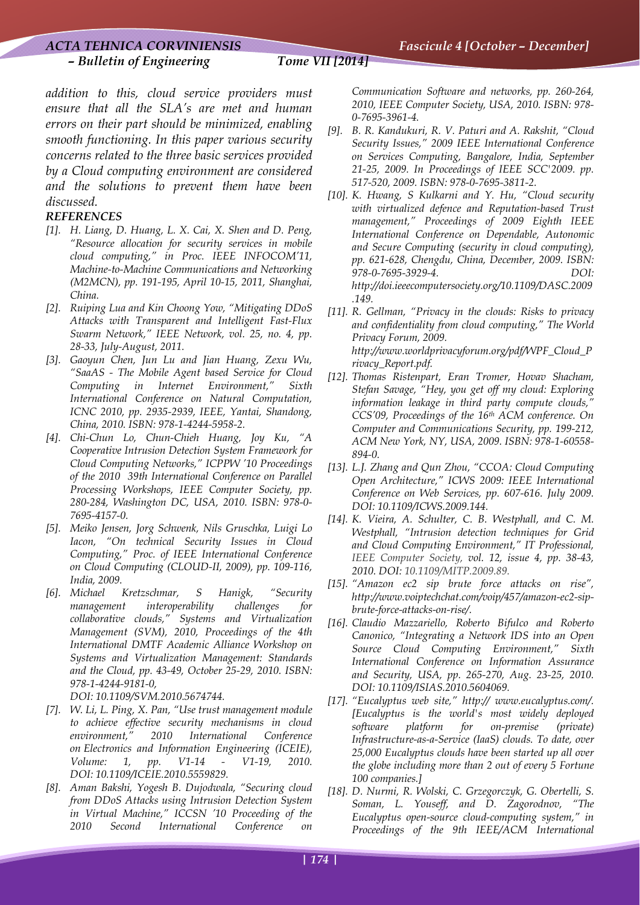# *– Bulletin of Engineering Tome VII [2014]*

*addition to this, cloud service providers must ensure that all the SLA's are met and human errors on their part should be minimized, enabling smooth functioning. In this paper various security concerns related to the three basic services provided by a Cloud computing environment are considered and the solutions to prevent them have been discussed.* 

#### *REFERENCES*

- *[1]. H. Liang, D. Huang, L. X. Cai, X. Shen and D. Peng, "Resource allocation for security services in mobile cloud computing," in Proc. IEEE INFOCOM'11, Machine-to-Machine Communications and Networking (M2MCN), pp. 191-195, April 10-15, 2011, Shanghai, China.*
- *[2]. Ruiping Lua and Kin Choong Yow, "Mitigating DDoS Attacks with Transparent and Intelligent Fast-Flux Swarm Network," IEEE Network, vol. 25, no. 4, pp. 28-33, July-August, 2011.*
- *[3]. Gaoyun Chen, Jun Lu and Jian Huang, Zexu Wu, "SaaAS - The Mobile Agent based Service for Cloud Computing in Internet Environment," Sixth International Conference on Natural Computation, ICNC 2010, pp. 2935-2939, IEEE, Yantai, Shandong, China, 2010. ISBN: 978-1-4244-5958-2.*
- *[4]. Chi-Chun Lo, Chun-Chieh Huang, Joy Ku, "A Cooperative Intrusion Detection System Framework for Cloud Computing Networks," ICPPW '10 Proceedings of the 2010 39th International Conference on Parallel Processing Workshops, IEEE Computer Society, pp. 280-284, Washington DC, USA, 2010. ISBN: 978-0- 7695-4157-0.*
- *[5]. Meiko Jensen, Jorg Schwenk, Nils Gruschka, Luigi Lo Iacon, "On technical Security Issues in Cloud Computing," Proc. of IEEE International Conference on Cloud Computing (CLOUD-II, 2009), pp. 109-116, India, 2009.*
- *[6]. Michael Kretzschmar, S Hanigk, "Security management interoperability challenges for collaborative clouds," Systems and Virtualization Management (SVM), 2010, Proceedings of the 4th International DMTF Academic Alliance Workshop on Systems and Virtualization Management: Standards and the Cloud, pp. 43-49, October 25-29, 2010. ISBN: 978-1-4244-9181-0,*

*DOI: 10.1109/SVM.2010.5674744.* 

- *[7]. W. Li, L. Ping, X. Pan, "Use trust management module to achieve effective security mechanisms in cloud environment," 2010 International Conference on Electronics and Information Engineering (ICEIE), Volume: 1, pp. V1-14 - V1-19, 2010. DOI: 10.1109/ICEIE.2010.5559829.*
- *[8]. Aman Bakshi, Yogesh B. Dujodwala, "Securing cloud from DDoS Attacks using Intrusion Detection System in Virtual Machine," ICCSN '10 Proceeding of the 2010 Second International Conference on*

*Communication Software and networks, pp. 260-264, 2010, IEEE Computer Society, USA, 2010. ISBN: 978- 0-7695-3961-4.* 

- *[9]. B. R. Kandukuri, R. V. Paturi and A. Rakshit, "Cloud Security Issues," 2009 IEEE International Conference on Services Computing, Bangalore, India, September 21-25, 2009. In Proceedings of IEEE SCC'2009. pp. 517-520, 2009. ISBN: 978-0-7695-3811-2.*
- *[10]. K. Hwang, S Kulkarni and Y. Hu, "Cloud security with virtualized defence and Reputation-based Trust management," Proceedings of 2009 Eighth IEEE International Conference on Dependable, Autonomic and Secure Computing (security in cloud computing), pp. 621-628, Chengdu, China, December, 2009. ISBN: 978-0-7695-3929-4. DOI: http://doi.ieeecomputersociety.org/10.1109/DASC.2009 .149.*
- *[11]. R. Gellman, "Privacy in the clouds: Risks to privacy and confidentiality from cloud computing," The World Privacy Forum, 2009. http://www.worldprivacyforum.org/pdf/WPF\_Cloud\_P rivacy\_Report.pdf.*
- *[12]. Thomas Ristenpart, Eran Tromer, Hovav Shacham, Stefan Savage, "Hey, you get off my cloud: Exploring information leakage in third party compute clouds," CCS'09, Proceedings of the 16th ACM conference. On Computer and Communications Security, pp. 199-212, ACM New York, NY, USA, 2009. ISBN: 978-1-60558- 894-0.*
- *[13]. L.J. Zhang and Qun Zhou, "CCOA: Cloud Computing Open Architecture," ICWS 2009: IEEE International Conference on Web Services, pp. 607-616. July 2009. DOI: 10.1109/ICWS.2009.144.*
- *[14]. K. Vieira, A. Schulter, C. B. Westphall, and C. M. Westphall, "Intrusion detection techniques for Grid and Cloud Computing Environment," IT Professional, IEEE Computer Society, vol. 12, issue 4, pp. 38-43, 2010. DOI: 10.1109/MITP.2009.89.*
- *[15]. "Amazon ec2 sip brute force attacks on rise", http://www.voiptechchat.com/voip/457/amazon-ec2-sipbrute-force-attacks-on-rise/.*
- *[16]. Claudio Mazzariello, Roberto Bifulco and Roberto Canonico, "Integrating a Network IDS into an Open Source Cloud Computing Environment," Sixth International Conference on Information Assurance and Security, USA, pp. 265-270, Aug. 23-25, 2010. DOI: 10.1109/ISIAS.2010.5604069.*
- *[17]. "Eucalyptus web site," http:// www.eucalyptus.com/. [Eucalyptus is the world's most widely deployed software platform for on-premise (private) Infrastructure-as-a-Service (IaaS) clouds. To date, over 25,000 Eucalyptus clouds have been started up all over the globe including more than 2 out of every 5 Fortune 100 companies.]*
- *[18]. D. Nurmi, R. Wolski, C. Grzegorczyk, G. Obertelli, S. Soman, L. Youseff, and D. Zagorodnov, "The Eucalyptus open-source cloud-computing system," in Proceedings of the 9th IEEE/ACM International*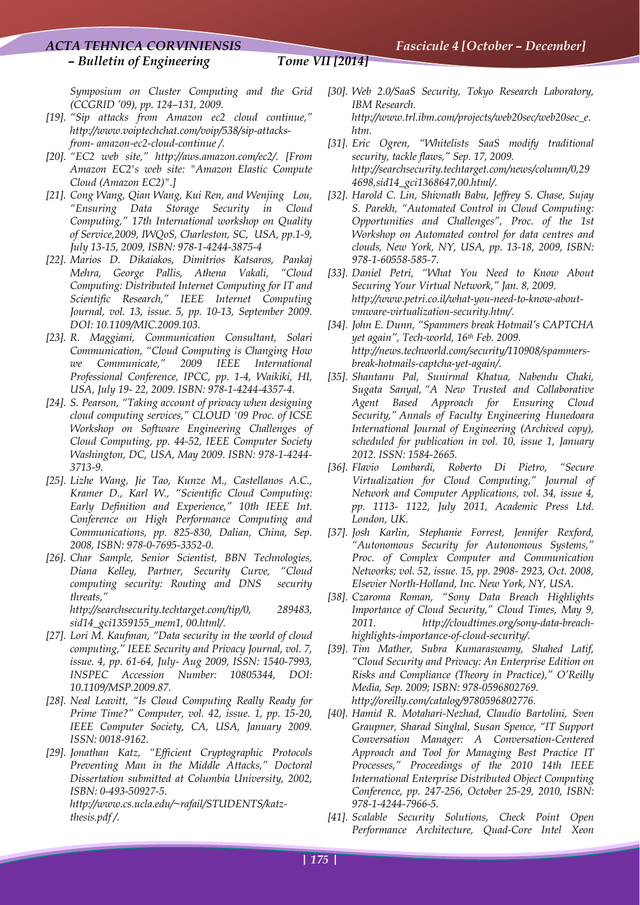*Symposium on Cluster Computing and the Grid (CCGRID '09), pp. 124–131, 2009.* 

- *[19]. "Sip attacks from Amazon ec2 cloud continue," http://www.voiptechchat.com/voip/538/sip-attacksfrom- amazon-ec2-cloud-continue /.*
- *[20]. "EC2 web site," http://aws.amazon.com/ec2/. [From Amazon EC2's web site: "Amazon Elastic Compute Cloud (Amazon EC2)".]*
- *[21]. Cong Wang, Qian Wang, Kui Ren, and Wenjing Lou, "Ensuring Data Storage Security in Cloud Computing," 17th International workshop on Quality of Service,2009, IWQoS, Charleston, SC, USA, pp.1-9, July 13-15, 2009, ISBN: 978-1-4244-3875-4*
- *[22]. Marios D. Dikaiakos, Dimitrios Katsaros, Pankaj Mehra, George Pallis, Athena Vakali, "Cloud Computing: Distributed Internet Computing for IT and Scientific Research," IEEE Internet Computing Journal, vol. 13, issue. 5, pp. 10-13, September 2009. DOI: 10.1109/MIC.2009.103.*
- *[23]. R. Maggiani, Communication Consultant, Solari Communication, "Cloud Computing is Changing How we Communicate," 2009 IEEE International Professional Conference, IPCC, pp. 1-4, Waikiki, HI, USA, July 19- 22, 2009. ISBN: 978-1-4244-4357-4.*
- *[24]. S. Pearson, "Taking account of privacy when designing cloud computing services," CLOUD '09 Proc. of ICSE Workshop on Software Engineering Challenges of Cloud Computing, pp. 44-52, IEEE Computer Society Washington, DC, USA, May 2009. ISBN: 978-1-4244- 3713-9.*
- *[25]. Lizhe Wang, Jie Tao, Kunze M., Castellanos A.C., Kramer D., Karl W., "Scientific Cloud Computing: Early Definition and Experience," 10th IEEE Int. Conference on High Performance Computing and Communications, pp. 825-830, Dalian, China, Sep. 2008, ISBN: 978-0-7695-3352-0.*
- *[26]. Char Sample, Senior Scientist, BBN Technologies, Diana Kelley, Partner, Security Curve, "Cloud computing security: Routing and DNS security threats," http://searchsecurity.techtarget.com/tip/0, 289483,*

*sid14\_gci1359155\_mem1, 00.html/. [27]. Lori M. Kaufman, "Data security in the world of cloud* 

- *computing," IEEE Security and Privacy Journal, vol. 7, issue. 4, pp. 61-64, July- Aug 2009, ISSN: 1540-7993, INSPEC Accession Number: 10805344, DOI: 10.1109/MSP.2009.87.*
- *[28]. Neal Leavitt, "Is Cloud Computing Really Ready for Prime Time?" Computer, vol. 42, issue. 1, pp. 15-20, IEEE Computer Society, CA, USA, January 2009. ISSN: 0018-9162.*
- *[29]. Jonathan Katz, "Efficient Cryptographic Protocols Preventing Man in the Middle Attacks," Doctoral Dissertation submitted at Columbia University, 2002, ISBN: 0-493-50927-5. http://www.cs.ucla.edu/~rafail/STUDENTS/katzthesis.pdf /.*
- *[30]. Web 2.0/SaaS Security, Tokyo Research Laboratory, IBM Research. http://www.trl.ibm.com/projects/web20sec/web20sec\_e. htm.*
- *[31]. Eric Ogren, "Whitelists SaaS modify traditional security, tackle flaws," Sep. 17, 2009. http://searchsecurity.techtarget.com/news/column/0,29 4698,sid14\_gci1368647,00.html/.*
- *[32]. Harold C. Lin, Shivnath Babu, Jeffrey S. Chase, Sujay S. Parekh, "Automated Control in Cloud Computing: Opportunities and Challenges", Proc. of the 1st Workshop on Automated control for data centres and clouds, New York, NY, USA, pp. 13-18, 2009, ISBN: 978-1-60558-585-7.*
- *[33]. Daniel Petri, "What You Need to Know About Securing Your Virtual Network," Jan. 8, 2009. http://www.petri.co.il/what-you-need-to-know-aboutvmware-virtualization-security.htm/.*
- *[34]. John E. Dunn, "Spammers break Hotmail's CAPTCHA yet again", Tech-world, 16th Feb. 2009. http://news.techworld.com/security/110908/spammersbreak-hotmails-captcha-yet-again/.*
- *[35]. Shantanu Pal, Sunirmal Khatua, Nabendu Chaki, Sugata Sanyal, "A New Trusted and Collaborative Agent Based Approach for Ensuring Cloud Security," Annals of Faculty Engineering Hunedoara International Journal of Engineering (Archived copy), scheduled for publication in vol. 10, issue 1, January 2012. ISSN: 1584-2665.*
- *[36]. Flavio Lombardi, Roberto Di Pietro, "Secure Virtualization for Cloud Computing," Journal of Network and Computer Applications, vol. 34, issue 4, pp. 1113- 1122, July 2011, Academic Press Ltd. London, UK.*
- *[37]. Josh Karlin, Stephanie Forrest, Jennifer Rexford, "Autonomous Security for Autonomous Systems," Proc. of Complex Computer and Communication Networks; vol. 52, issue. 15, pp. 2908- 2923, Oct. 2008, Elsevier North-Holland, Inc. New York, NY, USA.*
- *[38]. Czaroma Roman, "Sony Data Breach Highlights Importance of Cloud Security," Cloud Times, May 9, 2011. http://cloudtimes.org/sony-data-breachhighlights-importance-of-cloud-security/.*
- *[39]. Tim Mather, Subra Kumaraswamy, Shahed Latif, "Cloud Security and Privacy: An Enterprise Edition on Risks and Compliance (Theory in Practice)," O'Reilly Media, Sep. 2009; ISBN: 978-0596802769. http://oreilly.com/catalog/9780596802776.*
- *[40]. Hamid R. Motahari-Nezhad, Claudio Bartolini, Sven Graupner, Sharad Singhal, Susan Spence, "IT Support Conversation Manager: A Conversation-Centered Approach and Tool for Managing Best Practice IT Processes," Proceedings of the 2010 14th IEEE International Enterprise Distributed Object Computing Conference, pp. 247-256, October 25-29, 2010, ISBN: 978-1-4244-7966-5.*
- *[41]. Scalable Security Solutions, Check Point Open Performance Architecture, Quad-Core Intel Xeon*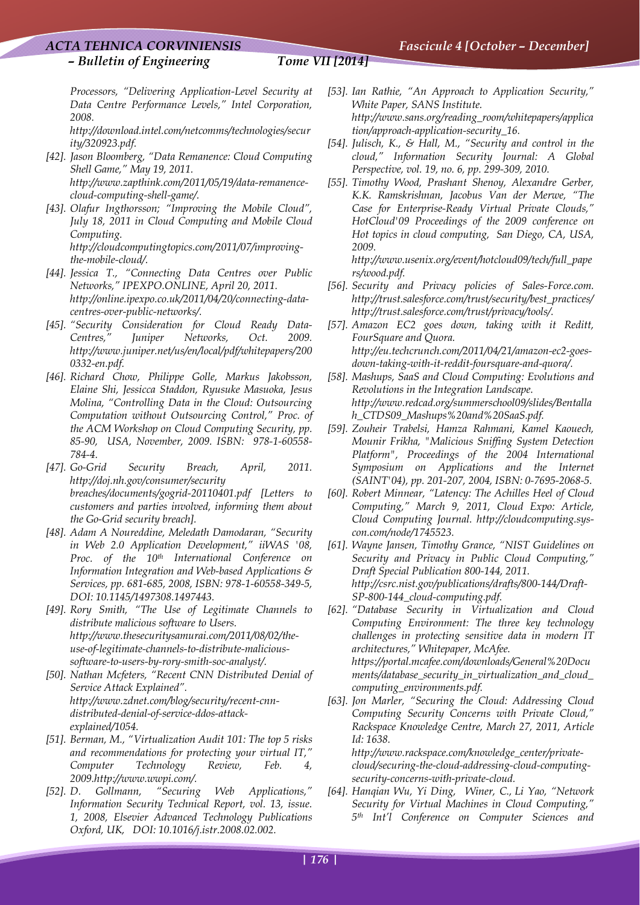*Processors, "Delivering Application-Level Security at Data Centre Performance Levels," Intel Corporation, 2008.* 

*http://download.intel.com/netcomms/technologies/secur ity/320923.pdf.* 

- *[42]. Jason Bloomberg, "Data Remanence: Cloud Computing Shell Game," May 19, 2011. http://www.zapthink.com/2011/05/19/data-remanencecloud-computing-shell-game/.*
- *[43]. Olafur Ingthorsson; "Improving the Mobile Cloud", July 18, 2011 in Cloud Computing and Mobile Cloud Computing. http://cloudcomputingtopics.com/2011/07/improvingthe-mobile-cloud/.*
- *[44]. Jessica T., "Connecting Data Centres over Public Networks," IPEXPO.ONLINE, April 20, 2011. http://online.ipexpo.co.uk/2011/04/20/connecting-datacentres-over-public-networks/.*
- *[45]. "Security Consideration for Cloud Ready Data-Centres," Juniper Networks, Oct. 2009. http://www.juniper.net/us/en/local/pdf/whitepapers/200 0332-en.pdf.*
- *[46]. Richard Chow, Philippe Golle, Markus Jakobsson, Elaine Shi, Jessicca Staddon, Ryusuke Masuoka, Jesus Molina, "Controlling Data in the Cloud: Outsourcing Computation without Outsourcing Control," Proc. of the ACM Workshop on Cloud Computing Security, pp. 85-90, USA, November, 2009. ISBN: 978-1-60558- 784-4.*
- *[47]. Go-Grid Security Breach, April, 2011. http://doj.nh.gov/consumer/security breaches/documents/gogrid-20110401.pdf [Letters to customers and parties involved, informing them about the Go-Grid security breach].*
- *[48]. Adam A Noureddine, Meledath Damodaran, "Security in Web 2.0 Application Development," iiWAS '08, Proc. of the 10th International Conference on Information Integration and Web-based Applications & Services, pp. 681-685, 2008, ISBN: 978-1-60558-349-5, DOI: 10.1145/1497308.1497443.*
- *[49]. Rory Smith, "The Use of Legitimate Channels to distribute malicious software to Users. http://www.thesecuritysamurai.com/2011/08/02/theuse-of-legitimate-channels-to-distribute-malicioussoftware-to-users-by-rory-smith-soc-analyst/.*
- *[50]. Nathan Mcfeters, "Recent CNN Distributed Denial of Service Attack Explained". http://www.zdnet.com/blog/security/recent-cnndistributed-denial-of-service-ddos-attackexplained/1054.*
- *[51]. Berman, M., "Virtualization Audit 101: The top 5 risks and recommendations for protecting your virtual IT," Computer Technology Review, Feb. 4, 2009.http://www.wwpi.com/.*
- *[52]. D. Gollmann, "Securing Web Applications," Information Security Technical Report, vol. 13, issue. 1, 2008, Elsevier Advanced Technology Publications Oxford, UK, DOI: 10.1016/j.istr.2008.02.002.*
- *[53]. Ian Rathie, "An Approach to Application Security," White Paper, SANS Institute. http://www.sans.org/reading\_room/whitepapers/applica tion/approach-application-security\_16.*
- *[54]. Julisch, K., & Hall, M., "Security and control in the cloud," Information Security Journal: A Global Perspective, vol. 19, no. 6, pp. 299-309, 2010.*
- *[55]. Timothy Wood, Prashant Shenoy, Alexandre Gerber, K.K. Ramskrishnan, Jacobus Van der Merwe, "The Case for Enterprise-Ready Virtual Private Clouds," HotCloud'09 Proceedings of the 2009 conference on Hot topics in cloud computing, San Diego, CA, USA, 2009.*

*http://www.usenix.org/event/hotcloud09/tech/full\_pape rs/wood.pdf.* 

- *[56]. Security and Privacy policies of Sales-Force.com. http://trust.salesforce.com/trust/security/best\_practices/ http://trust.salesforce.com/trust/privacy/tools/.*
- *[57]. Amazon EC2 goes down, taking with it Reditt, FourSquare and Quora. http://eu.techcrunch.com/2011/04/21/amazon-ec2-goesdown-taking-with-it-reddit-foursquare-and-quora/.*
- *[58]. Mashups, SaaS and Cloud Computing: Evolutions and Revolutions in the Integration Landscape. http://www.redcad.org/summerschool09/slides/Bentalla h\_CTDS09\_Mashups%20and%20SaaS.pdf.*
- *[59]. Zouheir Trabelsi, Hamza Rahmani, Kamel Kaouech, Mounir Frikha, "Malicious Sniffing System Detection Platform", Proceedings of the 2004 International Symposium on Applications and the Internet (SAINT'04), pp. 201-207, 2004, ISBN: 0-7695-2068-5.*
- *[60]. Robert Minnear, "Latency: The Achilles Heel of Cloud Computing," March 9, 2011, Cloud Expo: Article, Cloud Computing Journal. http://cloudcomputing.syscon.com/node/1745523.*
- *[61]. Wayne Jansen, Timothy Grance, "NIST Guidelines on Security and Privacy in Public Cloud Computing," Draft Special Publication 800-144, 2011. http://csrc.nist.gov/publications/drafts/800-144/Draft-SP-800-144\_cloud-computing.pdf.*
- *[62]. "Database Security in Virtualization and Cloud Computing Environment: The three key technology challenges in protecting sensitive data in modern IT architectures," Whitepaper, McAfee. https://portal.mcafee.com/downloads/General%20Docu ments/database\_security\_in\_virtualization\_and\_cloud\_ computing\_environments.pdf.*
- *[63]. Jon Marler, "Securing the Cloud: Addressing Cloud Computing Security Concerns with Private Cloud," Rackspace Knowledge Centre, March 27, 2011, Article Id: 1638. http://www.rackspace.com/knowledge\_center/private-*

*cloud/securing-the-cloud-addressing-cloud-computingsecurity-concerns-with-private-cloud.* 

*[64]. Hanqian Wu, Yi Ding, Winer, C., Li Yao, "Network Security for Virtual Machines in Cloud Computing," 5th Int'l Conference on Computer Sciences and*